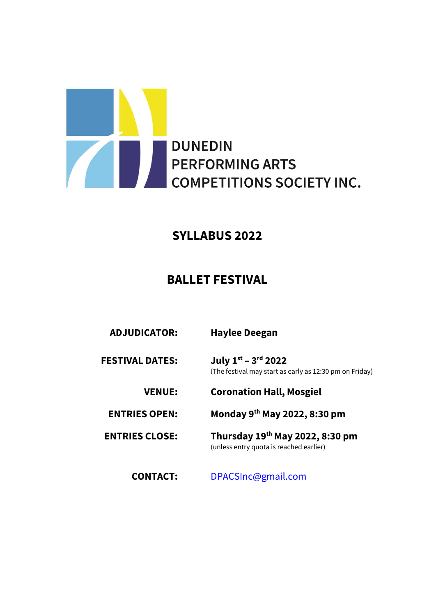

# **SYLLABUS 2022**

# **BALLET FESTIVAL**

| <b>ADJUDICATOR:</b> | <b>Haylee Deegan</b> |
|---------------------|----------------------|
|---------------------|----------------------|

**FESTIVAL DATES:** 

**July**  $1^{st}$  **–**  $3^{rd}$  **2022** (The festival may start as early as 12:30 pm on Friday)

**VENUE: Coronation Hall, Mosgiel**

**ENTRIES OPEN: Monday 9th May 2022, 8:30 pm**

**ENTRIES CLOSE: th May 2022, 8:30 pm** (unless entry quota is reached earlier)

**CONTACT:** [DPACSInc@gmail.com](mailto:DPACSInc@gmail.com)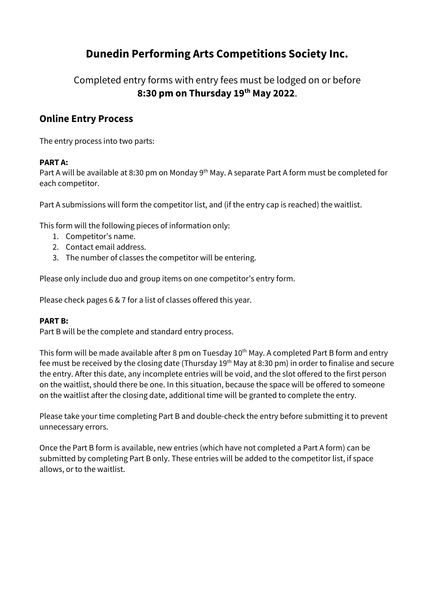# **Dunedin Performing Arts Competitions Society Inc.**

Completed entry forms with entry fees must be lodged on or before **8:30 pm on Thursday 19th May 2022**.

## **Online Entry Process**

The entry process into two parts:

#### **PART A:**

Part A will be available at 8:30 pm on Monday 9<sup>th</sup> May. A separate Part A form must be completed for each competitor.

Part A submissions will form the competitor list, and (if the entry cap is reached) the waitlist.

This form will the following pieces of information only:

- 1. Competitor's name.
- 2. Contact email address.
- 3. The number of classes the competitor will be entering.

Please only include duo and group items on one competitor's entry form.

Please check pages 6 & 7 for a list of classes offered this year.

#### **PART B:**

Part B will be the complete and standard entry process.

This form will be made available after 8 pm on Tuesday  $10<sup>th</sup>$  May. A completed Part B form and entry fee must be received by the closing date (Thursday 19<sup>th</sup> May at 8:30 pm) in order to finalise and secure the entry. After this date, any incomplete entries will be void, and the slot offered to the first person on the waitlist, should there be one. In this situation, because the space will be offered to someone on the waitlist after the closing date, additional time will be granted to complete the entry.

Please take your time completing Part B and double-check the entry before submitting it to prevent unnecessary errors.

Once the Part B form is available, new entries (which have not completed a Part A form) can be submitted by completing Part B only. These entries will be added to the competitor list, if space allows, or to the waitlist.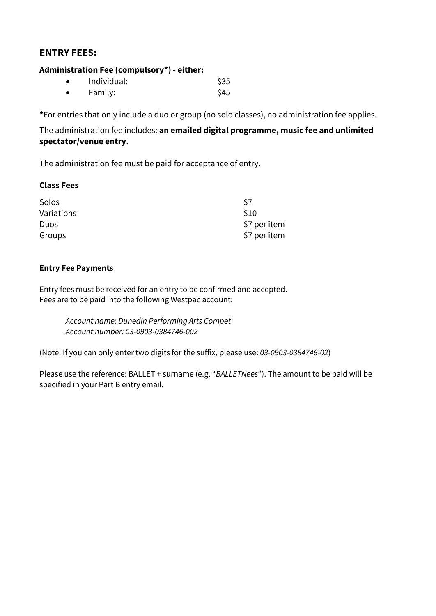## **ENTRY FEES:**

#### **Administration Fee (compulsory\*) - either:**

| $\bullet$ | Individual: | \$35 |
|-----------|-------------|------|
|           | Family:     | \$45 |

**\***For entries that only include a duo or group (no solo classes), no administration fee applies.

The administration fee includes: **an emailed digital programme, music fee and unlimited spectator/venue entry**.

The administration fee must be paid for acceptance of entry.

#### **Class Fees**

| Solos      | S7           |
|------------|--------------|
| Variations | \$10         |
| Duos       | \$7 per item |
| Groups     | \$7 per item |

#### **Entry Fee Payments**

Entry fees must be received for an entry to be confirmed and accepted. Fees are to be paid into the following Westpac account:

> *Account name: Dunedin Performing Arts Compet Account number: 03-0903-0384746-002*

(Note: If you can only enter two digits for the suffix, please use: *03-0903-0384746-02*)

Please use the reference: BALLET + surname (e.g. "*BALLETNees*"). The amount to be paid will be specified in your Part B entry email.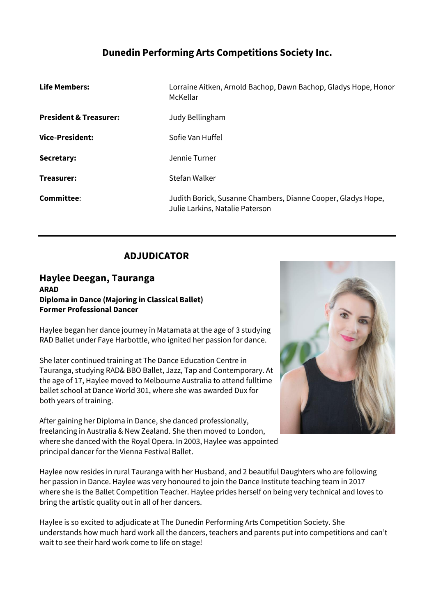## **Dunedin Performing Arts Competitions Society Inc.**



## **ADJUDICATOR**

#### **Haylee Deegan, Tauranga ARAD Diploma in Dance (Majoring in Classical Ballet) Former Professional Dancer**

Haylee began her dance journey in Matamata at the age of 3 studying RAD Ballet under Faye Harbottle, who ignited her passion for dance.

She later continued training at The Dance Education Centre in Tauranga, studying RAD& BBO Ballet, Jazz, Tap and Contemporary. At the age of 17, Haylee moved to Melbourne Australia to attend fulltime ballet school at Dance World 301, where she was awarded Dux for both years of training.

After gaining her Diploma in Dance, she danced professionally, freelancing in Australia & New Zealand. She then moved to London, where she danced with the Royal Opera. In 2003, Haylee was appointed principal dancer for the Vienna Festival Ballet.



Haylee now resides in rural Tauranga with her Husband, and 2 beautiful Daughters who are following her passion in Dance. Haylee was very honoured to join the Dance Institute teaching team in 2017 where she is the Ballet Competition Teacher. Haylee prides herself on being very technical and loves to bring the artistic quality out in all of her dancers.

Haylee is so excited to adjudicate at The Dunedin Performing Arts Competition Society. She understands how much hard work all the dancers, teachers and parents put into competitions and can't wait to see their hard work come to life on stage!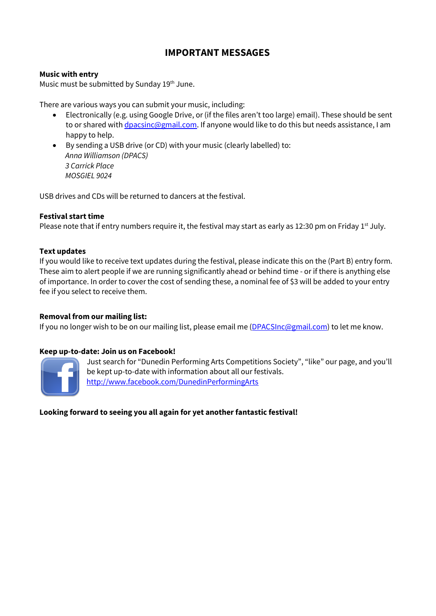## **IMPORTANT MESSAGES**

#### **Music with entry**

Music must be submitted by Sunday 19<sup>th</sup> June.

There are various ways you can submit your music, including:

- Electronically (e.g. using Google Drive, or (if the files aren't too large) email). These should be sent to or shared with [dpacsinc@gmail.com.](mailto:dpacsinc@gmail.com) If anyone would like to do this but needs assistance, I am happy to help.
- By sending a USB drive (or CD) with your music (clearly labelled) to: *Anna Williamson (DPACS) 3 Carrick Place MOSGIEL 9024*

USB drives and CDs will be returned to dancers at the festival.

#### **Festival start time**

Please note that if entry numbers require it, the festival may start as early as 12:30 pm on Friday 1<sup>st</sup> July.

#### **Text updates**

If you would like to receive text updates during the festival, please indicate this on the (Part B) entry form. These aim to alert people if we are running significantly ahead or behind time - or if there is anything else of importance. In order to cover the cost of sending these, a nominal fee of \$3 will be added to your entry fee if you select to receive them.

#### **Removal from our mailing list:**

If you no longer wish to be on our mailing list, please email me [\(DPACSInc@gmail.com\)](mailto:annanees@hotmail.com) to let me know.

#### **Keep up-to-date: Join us on Facebook!**



Just search for "Dunedin Performing Arts Competitions Society", "like" our page, and you'll be kept up-to-date with information about all our festivals. <http://www.facebook.com/DunedinPerformingArts>

#### **Looking forward to seeing you all again for yet another fantastic festival!**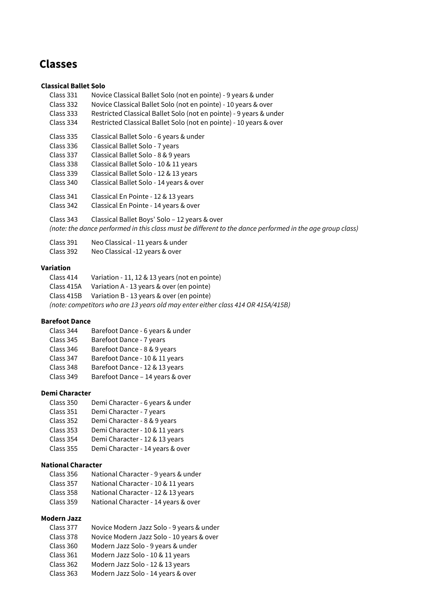# **Classes**

#### **Classical Ballet Solo**

| Class 331 | Novice Classical Ballet Solo (not en pointe) - 9 years & under |  |  |
|-----------|----------------------------------------------------------------|--|--|
|-----------|----------------------------------------------------------------|--|--|

- Class 332 Novice Classical Ballet Solo (not en pointe) 10 years & over
- Class 333 Restricted Classical Ballet Solo (not en pointe) 9 years & under
- Class 334 Restricted Classical Ballet Solo (not en pointe) 10 years & over
- Class 335 Classical Ballet Solo 6 years & under
- Class 336 Classical Ballet Solo 7 years
- Class 337 Classical Ballet Solo 8 & 9 years
- Class 338 Classical Ballet Solo 10 & 11 years
- Class 339 Classical Ballet Solo 12 & 13 years
- Class 340 Classical Ballet Solo 14 years & over
- Class 341 Classical En Pointe 12 & 13 years
- Class 342 Classical En Pointe 14 years & over
- Class 343 Classical Ballet Boys' Solo 12 years & over *(note: the dance performed in this class must be different to the dance performed in the age group class)*
- Class 391 Neo Classical 11 years & under
- Class 392 Neo Classical -12 years & over

#### **Variation**

Class 414 Variation - 11, 12 & 13 years (not en pointe) Class 415A Variation A - 13 years & over (en pointe) Class 415B Variation B - 13 years & over (en pointe) *(note: competitors who are 13 years old may enter either class 414 OR 415A/415B)*

#### **Barefoot Dance**

| Class 344 | Barefoot Dance - 6 years & under |
|-----------|----------------------------------|
| Class 345 | Barefoot Dance - 7 years         |
| Class 346 | Barefoot Dance - 8 & 9 years     |
| Class 347 | Barefoot Dance - 10 & 11 years   |
| Class 348 | Barefoot Dance - 12 & 13 years   |
| Class 349 | Barefoot Dance - 14 years & over |

#### **Demi Character**

| Class 350 | Demi Character - 6 years & under |
|-----------|----------------------------------|
| Class 351 | Demi Character - 7 years         |
| Class 352 | Demi Character - 8 & 9 years     |
| Class 353 | Demi Character - 10 & 11 years   |
| Class 354 | Demi Character - 12 & 13 years   |
| Class 355 | Demi Character - 14 years & over |

#### **National Character**

- Class 356 National Character 9 years & under Class 357 National Character - 10 & 11 years
- Class 358 National Character 12 & 13 years
- 
- Class 359 National Character 14 years & over

#### **Modern Jazz**

Class 377 Novice Modern Jazz Solo - 9 years & under Class 378 Novice Modern Jazz Solo - 10 years & over Class 360 Modern Jazz Solo - 9 years & under Class 361 Modern Jazz Solo - 10 & 11 years Class 362 Modern Jazz Solo - 12 & 13 years Class 363 Modern Jazz Solo - 14 years & over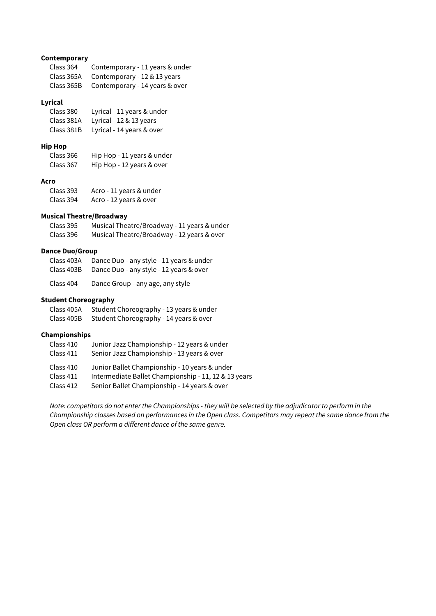#### **Contemporary**

| Class 364  | Contemporary - 11 years & under |
|------------|---------------------------------|
| Class 365A | Contemporary - 12 & 13 years    |
| Class 365B | Contemporary - 14 years & over  |

#### **Lyrical**

| Class 380  | Lyrical - 11 years & under |
|------------|----------------------------|
| Class 381A | Lyrical - 12 & 13 years    |
| Class 381B | Lyrical - 14 years & over  |

#### **Hip Hop**

| Class 366 | Hip Hop - 11 years & under |
|-----------|----------------------------|
| Class 367 | Hip Hop - 12 years & over  |

#### **Acro**

| Class 393 | Acro - 11 years & under |
|-----------|-------------------------|
| Class 394 | Acro - 12 years & over  |

#### **Musical Theatre/Broadway**

| Class 395 | Musical Theatre/Broadway - 11 years & under |
|-----------|---------------------------------------------|
| Class 396 | Musical Theatre/Broadway - 12 years & over  |

#### **Dance Duo/Group**

| Class 403A | Dance Duo - any style - 11 years & under |
|------------|------------------------------------------|
| Class 403B | Dance Duo - any style - 12 years & over  |
| Class 404  | Dance Group - any age, any style         |

#### **Student Choreography**

| Class 405A | Student Choreography - 13 years & under |
|------------|-----------------------------------------|
| Class 405B | Student Choreography - 14 years & over  |

#### **Championships**

| Class 410 | Junior Jazz Championship - 12 years & under          |
|-----------|------------------------------------------------------|
| Class 411 | Senior Jazz Championship - 13 years & over           |
| Class 410 | Junior Ballet Championship - 10 years & under        |
| Class 411 | Intermediate Ballet Championship - 11, 12 & 13 years |
| Class 412 | Senior Ballet Championship - 14 years & over         |

*Note: competitors do not enter the Championships - they will be selected by the adjudicator to perform in the Championship classes based on performances in the Open class. Competitors may repeat the same dance from the Open class OR perform a different dance of the same genre.*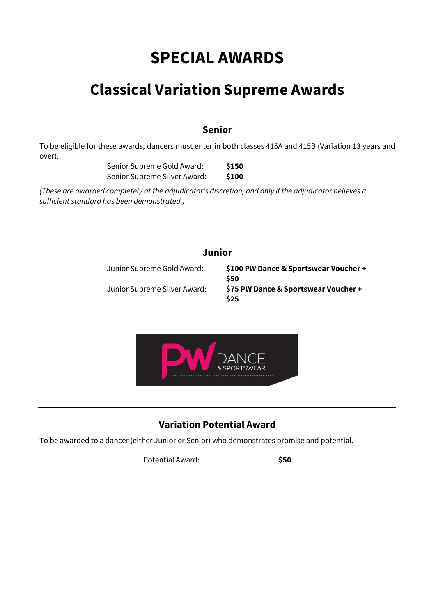# **SPECIAL AWARDS**

# **Classical Variation Supreme Awards**

### **Senior**

To be eligible for these awards, dancers must enter in both classes 415A and 415B (Variation 13 years and over).

> Senior Supreme Gold Award: **\$150** Senior Supreme Silver Award: **\$100**

*(These are awarded completely at the adjudicator's discretion, and only if the adjudicator believes a sufficient standard has been demonstrated.)*

## **Junior**

Junior Supreme Gold Award: **\$100 PW Dance & Sportswear Voucher + \$50** Junior Supreme Silver Award: **\$75 PW Dance & Sportswear Voucher + \$25**



# **Variation Potential Award**

To be awarded to a dancer (either Junior or Senior) who demonstrates promise and potential.

Potential Award: **\$50**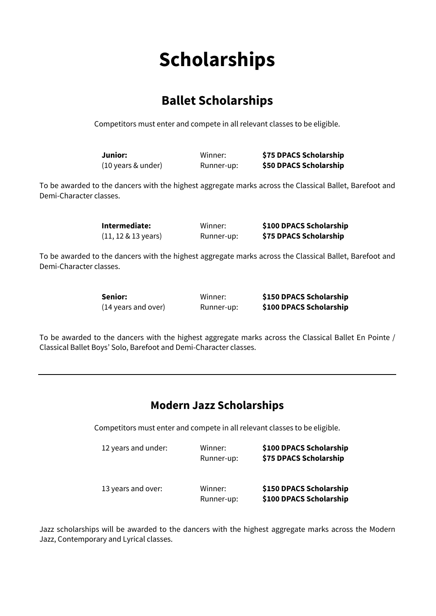# **Scholarships**

# **Ballet Scholarships**

Competitors must enter and compete in all relevant classes to be eligible.

| Junior:            | Winner:    | \$75 DPACS Scholarship |
|--------------------|------------|------------------------|
| (10 years & under) | Runner-up: | \$50 DPACS Scholarship |

To be awarded to the dancers with the highest aggregate marks across the Classical Ballet, Barefoot and Demi-Character classes.

**Intermediate:** Winner: **\$100 DPACS Scholarship** (11, 12 & 13 years) Runner-up: **\$75 DPACS Scholarship**

To be awarded to the dancers with the highest aggregate marks across the Classical Ballet, Barefoot and Demi-Character classes.

**Senior:** Winner: **\$150 DPACS Scholarship** (14 years and over) Runner-up: **\$100 DPACS Scholarship**

To be awarded to the dancers with the highest aggregate marks across the Classical Ballet En Pointe / Classical Ballet Boys' Solo, Barefoot and Demi-Character classes.

# **Modern Jazz Scholarships**

Competitors must enter and compete in all relevant classes to be eligible.

| 12 years and under: | Winner:<br>Runner-up: | \$100 DPACS Scholarship<br>\$75 DPACS Scholarship  |
|---------------------|-----------------------|----------------------------------------------------|
| 13 years and over:  | Winner:<br>Runner-up: | \$150 DPACS Scholarship<br>\$100 DPACS Scholarship |

Jazz scholarships will be awarded to the dancers with the highest aggregate marks across the Modern Jazz, Contemporary and Lyrical classes.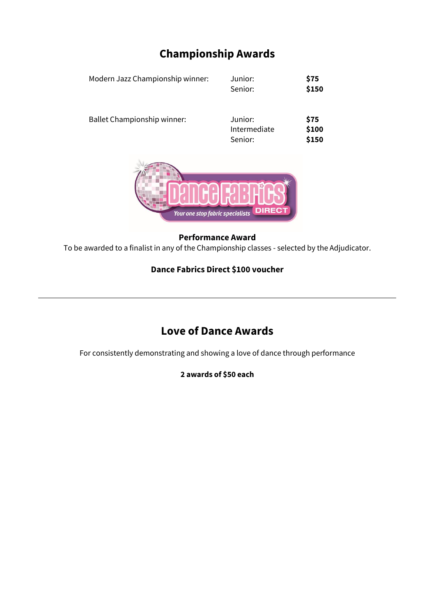# **Championship Awards**

| Modern Jazz Championship winner:   | Junior:<br>Senior:                 | \$75<br>\$150          |
|------------------------------------|------------------------------------|------------------------|
| <b>Ballet Championship winner:</b> | Junior:<br>Intermediate<br>Senior: | \$75<br>\$100<br>\$150 |



#### **Performance Award**

To be awarded to a finalist in any of the Championship classes - selected by the Adjudicator.

#### **Dance Fabrics Direct \$100 voucher**

# **Love of Dance Awards**

For consistently demonstrating and showing a love of dance through performance

#### **2 awards of \$50 each**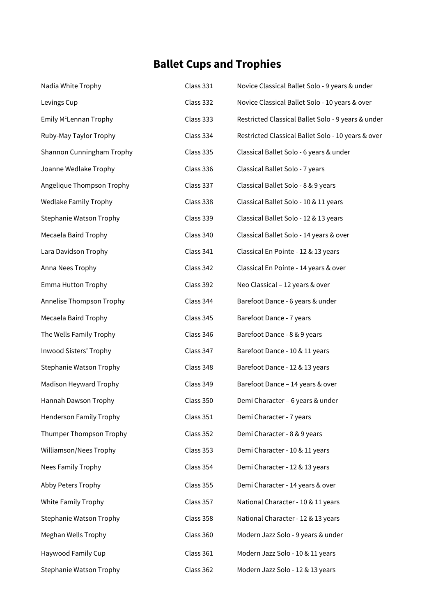# **Ballet Cups and Trophies**

| Nadia White Trophy                 | Class 331 | Novice Classical Ballet Solo - 9 years & under     |
|------------------------------------|-----------|----------------------------------------------------|
| Levings Cup                        | Class 332 | Novice Classical Ballet Solo - 10 years & over     |
| Emily M <sup>c</sup> Lennan Trophy | Class 333 | Restricted Classical Ballet Solo - 9 years & under |
| Ruby-May Taylor Trophy             | Class 334 | Restricted Classical Ballet Solo - 10 years & over |
| Shannon Cunningham Trophy          | Class 335 | Classical Ballet Solo - 6 years & under            |
| Joanne Wedlake Trophy              | Class 336 | Classical Ballet Solo - 7 years                    |
| Angelique Thompson Trophy          | Class 337 | Classical Ballet Solo - 8 & 9 years                |
| <b>Wedlake Family Trophy</b>       | Class 338 | Classical Ballet Solo - 10 & 11 years              |
| Stephanie Watson Trophy            | Class 339 | Classical Ballet Solo - 12 & 13 years              |
| Mecaela Baird Trophy               | Class 340 | Classical Ballet Solo - 14 years & over            |
| Lara Davidson Trophy               | Class 341 | Classical En Pointe - 12 & 13 years                |
| Anna Nees Trophy                   | Class 342 | Classical En Pointe - 14 years & over              |
| <b>Emma Hutton Trophy</b>          | Class 392 | Neo Classical - 12 years & over                    |
| Annelise Thompson Trophy           | Class 344 | Barefoot Dance - 6 years & under                   |
| Mecaela Baird Trophy               | Class 345 | Barefoot Dance - 7 years                           |
| The Wells Family Trophy            | Class 346 | Barefoot Dance - 8 & 9 years                       |
| Inwood Sisters' Trophy             | Class 347 | Barefoot Dance - 10 & 11 years                     |
| Stephanie Watson Trophy            | Class 348 | Barefoot Dance - 12 & 13 years                     |
| Madison Heyward Trophy             | Class 349 | Barefoot Dance - 14 years & over                   |
| Hannah Dawson Trophy               | Class 350 | Demi Character - 6 years & under                   |
| <b>Henderson Family Trophy</b>     | Class 351 | Demi Character - 7 years                           |
| Thumper Thompson Trophy            | Class 352 | Demi Character - 8 & 9 years                       |
| Williamson/Nees Trophy             | Class 353 | Demi Character - 10 & 11 years                     |
| Nees Family Trophy                 | Class 354 | Demi Character - 12 & 13 years                     |
| Abby Peters Trophy                 | Class 355 | Demi Character - 14 years & over                   |
| White Family Trophy                | Class 357 | National Character - 10 & 11 years                 |
| Stephanie Watson Trophy            | Class 358 | National Character - 12 & 13 years                 |
| Meghan Wells Trophy                | Class 360 | Modern Jazz Solo - 9 years & under                 |
| Haywood Family Cup                 | Class 361 | Modern Jazz Solo - 10 & 11 years                   |
| <b>Stephanie Watson Trophy</b>     | Class 362 | Modern Jazz Solo - 12 & 13 years                   |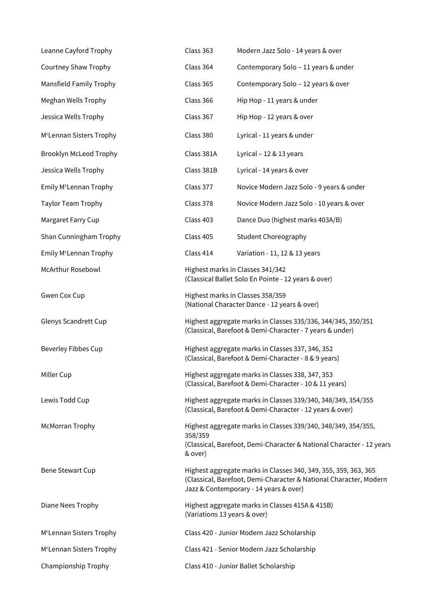| Leanne Cayford Trophy                | Class 363                    | Modern Jazz Solo - 14 years & over                                                                                                                                             |
|--------------------------------------|------------------------------|--------------------------------------------------------------------------------------------------------------------------------------------------------------------------------|
| Courtney Shaw Trophy                 | Class 364                    | Contemporary Solo - 11 years & under                                                                                                                                           |
| <b>Mansfield Family Trophy</b>       | Class 365                    | Contemporary Solo - 12 years & over                                                                                                                                            |
| Meghan Wells Trophy                  | Class 366                    | Hip Hop - 11 years & under                                                                                                                                                     |
| Jessica Wells Trophy                 | Class 367                    | Hip Hop - 12 years & over                                                                                                                                                      |
| M <sup>c</sup> Lennan Sisters Trophy | Class 380                    | Lyrical - 11 years & under                                                                                                                                                     |
| Brooklyn McLeod Trophy               | Class 381A                   | Lyrical - 12 & 13 years                                                                                                                                                        |
| Jessica Wells Trophy                 | Class 381B                   | Lyrical - 14 years & over                                                                                                                                                      |
| Emily M <sup>c</sup> Lennan Trophy   | Class 377                    | Novice Modern Jazz Solo - 9 years & under                                                                                                                                      |
| <b>Taylor Team Trophy</b>            | Class 378                    | Novice Modern Jazz Solo - 10 years & over                                                                                                                                      |
| Margaret Farry Cup                   | Class 403                    | Dance Duo (highest marks 403A/B)                                                                                                                                               |
| Shan Cunningham Trophy               | Class 405                    | <b>Student Choreography</b>                                                                                                                                                    |
| Emily M <sup>c</sup> Lennan Trophy   | Class 414                    | Variation - 11, 12 & 13 years                                                                                                                                                  |
| <b>McArthur Rosebowl</b>             |                              | Highest marks in Classes 341/342<br>(Classical Ballet Solo En Pointe - 12 years & over)                                                                                        |
| Gwen Cox Cup                         |                              | Highest marks in Classes 358/359<br>(National Character Dance - 12 years & over)                                                                                               |
| <b>Glenys Scandrett Cup</b>          |                              | Highest aggregate marks in Classes 335/336, 344/345, 350/351<br>(Classical, Barefoot & Demi-Character - 7 years & under)                                                       |
| Beverley Fibbes Cup                  |                              | Highest aggregate marks in Classes 337, 346, 352<br>(Classical, Barefoot & Demi-Character - 8 & 9 years)                                                                       |
| Miller Cup                           |                              | Highest aggregate marks in Classes 338, 347, 353<br>(Classical, Barefoot & Demi-Character - 10 & 11 years)                                                                     |
| Lewis Todd Cup                       |                              | Highest aggregate marks in Classes 339/340, 348/349, 354/355<br>(Classical, Barefoot & Demi-Character - 12 years & over)                                                       |
| <b>McMorran Trophy</b>               | 358/359<br>& over)           | Highest aggregate marks in Classes 339/340, 348/349, 354/355,<br>(Classical, Barefoot, Demi-Character & National Character - 12 years                                          |
| Bene Stewart Cup                     |                              | Highest aggregate marks in Classes 340, 349, 355, 359, 363, 365<br>(Classical, Barefoot, Demi-Character & National Character, Modern<br>Jazz & Contemporary - 14 years & over) |
| Diane Nees Trophy                    | (Variations 13 years & over) | Highest aggregate marks in Classes 415A & 415B)                                                                                                                                |
| M <sup>c</sup> Lennan Sisters Trophy |                              | Class 420 - Junior Modern Jazz Scholarship                                                                                                                                     |
| M <sup>c</sup> Lennan Sisters Trophy |                              | Class 421 - Senior Modern Jazz Scholarship                                                                                                                                     |
| Championship Trophy                  |                              | Class 410 - Junior Ballet Scholarship                                                                                                                                          |
|                                      |                              |                                                                                                                                                                                |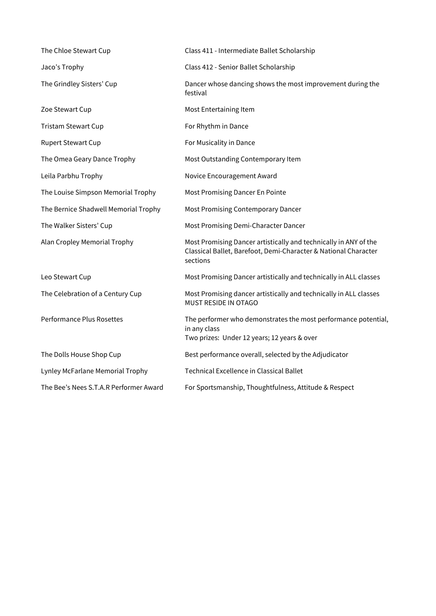| The Chloe Stewart Cup                  | Class 411 - Intermediate Ballet Scholarship                                                                                                     |
|----------------------------------------|-------------------------------------------------------------------------------------------------------------------------------------------------|
| Jaco's Trophy                          | Class 412 - Senior Ballet Scholarship                                                                                                           |
| The Grindley Sisters' Cup              | Dancer whose dancing shows the most improvement during the<br>festival                                                                          |
| Zoe Stewart Cup                        | Most Entertaining Item                                                                                                                          |
| <b>Tristam Stewart Cup</b>             | For Rhythm in Dance                                                                                                                             |
| <b>Rupert Stewart Cup</b>              | For Musicality in Dance                                                                                                                         |
| The Omea Geary Dance Trophy            | Most Outstanding Contemporary Item                                                                                                              |
| Leila Parbhu Trophy                    | Novice Encouragement Award                                                                                                                      |
| The Louise Simpson Memorial Trophy     | Most Promising Dancer En Pointe                                                                                                                 |
| The Bernice Shadwell Memorial Trophy   | <b>Most Promising Contemporary Dancer</b>                                                                                                       |
| The Walker Sisters' Cup                | Most Promising Demi-Character Dancer                                                                                                            |
| Alan Cropley Memorial Trophy           | Most Promising Dancer artistically and technically in ANY of the<br>Classical Ballet, Barefoot, Demi-Character & National Character<br>sections |
| Leo Stewart Cup                        | Most Promising Dancer artistically and technically in ALL classes                                                                               |
| The Celebration of a Century Cup       | Most Promising dancer artistically and technically in ALL classes<br><b>MUST RESIDE IN OTAGO</b>                                                |
| Performance Plus Rosettes              | The performer who demonstrates the most performance potential,<br>in any class<br>Two prizes: Under 12 years; 12 years & over                   |
| The Dolls House Shop Cup               | Best performance overall, selected by the Adjudicator                                                                                           |
| Lynley McFarlane Memorial Trophy       | <b>Technical Excellence in Classical Ballet</b>                                                                                                 |
| The Bee's Nees S.T.A.R Performer Award | For Sportsmanship, Thoughtfulness, Attitude & Respect                                                                                           |